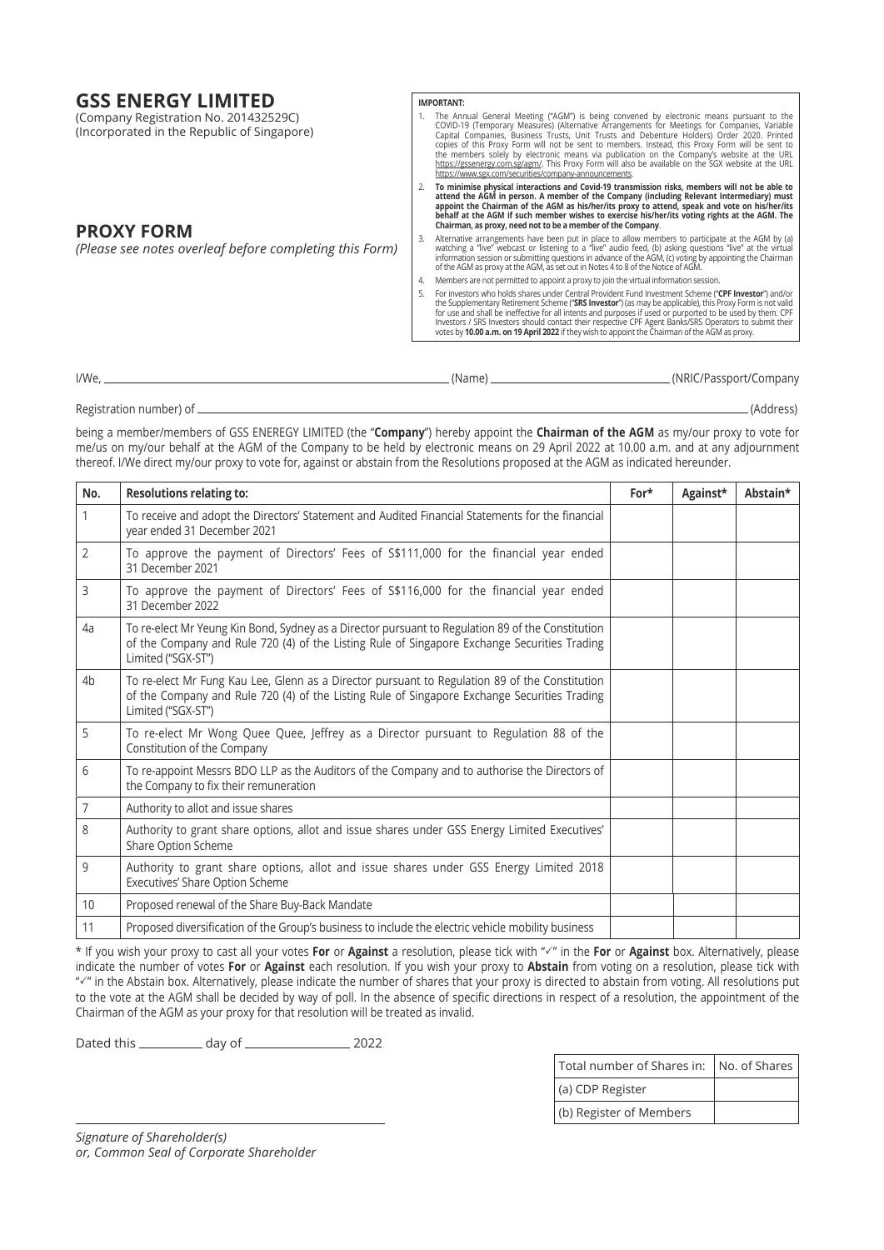# **GSS ENERGY LIMITED**

| <b>GSS ENERGY LIMITED</b><br>(Company Registration No. 201432529C)<br>(Incorporated in the Republic of Singapore) | <b>IMPORTANT:</b><br>The Annual General Meeting ("AGM") is being convened by electronic means pursuant to the<br>COVID-19 (Temporary Measures) (Alternative Arrangements for Meetings for Companies, Variable<br>Capital Companies, Business Trusts, Unit Trusts and Debenture Holders) Order 2020. Printed<br>copies of this Proxy Form will not be sent to members. Instead, this Proxy Form will be sent to<br>the members solely by electronic means via publication on the Company's website at the URL<br>https://gssenergy.com.sg/agm/. This Proxy Form will also be available on the SGX website at the URL<br>https://www.sgx.com/securities/company-announcements. |
|-------------------------------------------------------------------------------------------------------------------|------------------------------------------------------------------------------------------------------------------------------------------------------------------------------------------------------------------------------------------------------------------------------------------------------------------------------------------------------------------------------------------------------------------------------------------------------------------------------------------------------------------------------------------------------------------------------------------------------------------------------------------------------------------------------|
| <b>PROXY FORM</b>                                                                                                 | To minimise physical interactions and Covid-19 transmission risks, members will not be able to<br>attend the AGM in person. A member of the Company (including Relevant Intermediary) must<br>appoint the Chairman of the AGM as his/her/its proxy to attend, speak and vote on his/her/its<br>behalf at the AGM if such member wishes to exercise his/her/its voting rights at the AGM. The<br>Chairman, as proxy, need not to be a member of the Company.                                                                                                                                                                                                                  |
| (Please see notes overleaf before completing this Form)                                                           | Alternative arrangements have been put in place to allow members to participate at the AGM by (a)<br>watching a "live" webcast or listening to a "live" audio feed, (b) asking questions "live" at the virtual<br>information session or submitting questions in advance of the AGM, (c) voting by appointing the Chairman<br>of the AGM as proxy at the AGM, as set out in Notes 4 to 8 of the Notice of AGM.                                                                                                                                                                                                                                                               |
|                                                                                                                   | Members are not permitted to appoint a proxy to join the virtual information session.                                                                                                                                                                                                                                                                                                                                                                                                                                                                                                                                                                                        |
|                                                                                                                   | For investors who holds shares under Central Provident Fund Investment Scheme ("CPF Investor") and/or<br>the Supplementary Retirement Scheme ("SRS Investor") (as may be applicable), this Proxy Form is not valid<br>for use and shall be ineffective for all intents and purposes if used or purported to be used by them. CPF<br>Investors / SRS Investors should contact their respective CPF Agent Banks/SRS Operators to submit their<br>votes by 10.00 a.m. on 19 April 2022 if they wish to appoint the Chairman of the AGM as proxy.                                                                                                                                |

I/We, (Name) (NRIC/Passport/Company

Registration number) of (Address)

being a member/members of GSS ENEREGY LIMITED (the "**Company**") hereby appoint the **Chairman of the AGM** as my/our proxy to vote for me/us on my/our behalf at the AGM of the Company to be held by electronic means on 29 April 2022 at 10.00 a.m. and at any adjournment thereof. I/We direct my/our proxy to vote for, against or abstain from the Resolutions proposed at the AGM as indicated hereunder.

| No.            | <b>Resolutions relating to:</b>                                                                                                                                                                                         | For* | Against* | Abstain* |
|----------------|-------------------------------------------------------------------------------------------------------------------------------------------------------------------------------------------------------------------------|------|----------|----------|
| 1              | To receive and adopt the Directors' Statement and Audited Financial Statements for the financial<br>year ended 31 December 2021                                                                                         |      |          |          |
| $\overline{2}$ | To approve the payment of Directors' Fees of \$\$111,000 for the financial year ended<br>31 December 2021                                                                                                               |      |          |          |
| 3              | To approve the payment of Directors' Fees of S\$116,000 for the financial year ended<br>31 December 2022                                                                                                                |      |          |          |
| 4a             | To re-elect Mr Yeung Kin Bond, Sydney as a Director pursuant to Regulation 89 of the Constitution<br>of the Company and Rule 720 (4) of the Listing Rule of Singapore Exchange Securities Trading<br>Limited ("SGX-ST") |      |          |          |
| 4 <sub>b</sub> | To re-elect Mr Fung Kau Lee, Glenn as a Director pursuant to Regulation 89 of the Constitution<br>of the Company and Rule 720 (4) of the Listing Rule of Singapore Exchange Securities Trading<br>Limited ("SGX-ST")    |      |          |          |
| 5              | To re-elect Mr Wong Quee Quee, Jeffrey as a Director pursuant to Regulation 88 of the<br>Constitution of the Company                                                                                                    |      |          |          |
| 6              | To re-appoint Messrs BDO LLP as the Auditors of the Company and to authorise the Directors of<br>the Company to fix their remuneration                                                                                  |      |          |          |
| 7              | Authority to allot and issue shares                                                                                                                                                                                     |      |          |          |
| 8              | Authority to grant share options, allot and issue shares under GSS Energy Limited Executives'<br>Share Option Scheme                                                                                                    |      |          |          |
| 9              | Authority to grant share options, allot and issue shares under GSS Energy Limited 2018<br>Executives' Share Option Scheme                                                                                               |      |          |          |
| 10             | Proposed renewal of the Share Buy-Back Mandate                                                                                                                                                                          |      |          |          |
| 11             | Proposed diversification of the Group's business to include the electric vehicle mobility business                                                                                                                      |      |          |          |

\* If you wish your proxy to cast all your votes **For** or **Against** a resolution, please tick with "3" in the **For** or **Against** box. Alternatively, please indicate the number of votes **For** or **Against** each resolution. If you wish your proxy to **Abstain** from voting on a resolution, please tick with "<" in the Abstain box. Alternatively, please indicate the number of shares that your proxy is directed to abstain from voting. All resolutions put to the vote at the AGM shall be decided by way of poll. In the absence of specific directions in respect of a resolution, the appointment of the Chairman of the AGM as your proxy for that resolution will be treated as invalid.

Dated this \_\_\_\_\_\_\_\_\_\_\_ day of \_\_\_\_\_\_\_\_\_\_\_\_\_\_\_\_\_\_\_\_\_\_ 2022

| Total number of Shares in:   No. of Shares |  |  |  |
|--------------------------------------------|--|--|--|
| (a) CDP Register                           |  |  |  |
| (b) Register of Members                    |  |  |  |

*Signature of Shareholder(s) or, Common Seal of Corporate Shareholder*